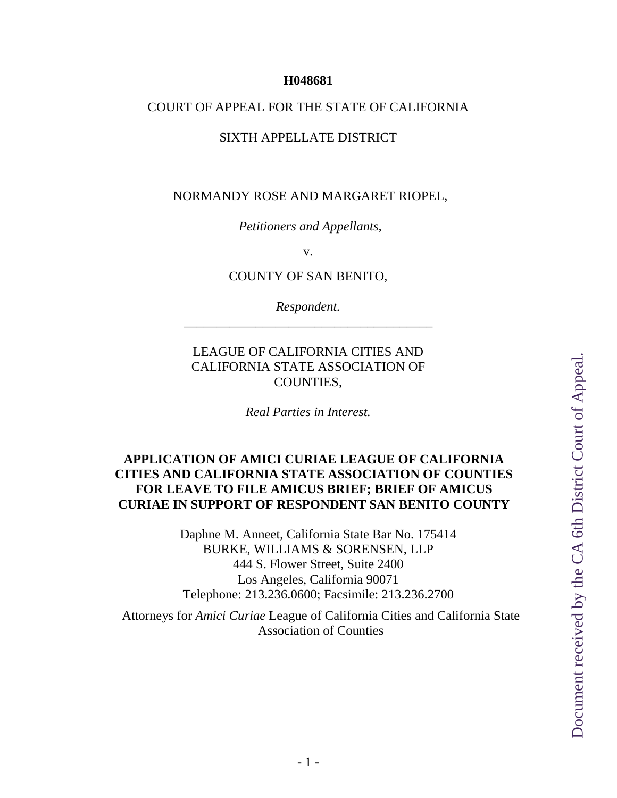#### **H048681**

#### COURT OF APPEAL FOR THE STATE OF CALIFORNIA

#### SIXTH APPELLATE DISTRICT

#### NORMANDY ROSE AND MARGARET RIOPEL,

*Petitioners and Appellants,*

v.

COUNTY OF SAN BENITO,

*Respondent.* \_\_\_\_\_\_\_\_\_\_\_\_\_\_\_\_\_\_\_\_\_\_\_\_\_\_\_\_\_\_\_\_\_\_\_\_\_\_

#### LEAGUE OF CALIFORNIA CITIES AND CALIFORNIA STATE ASSOCIATION OF COUNTIES,

*Real Parties in Interest.*

#### **APPLICATION OF AMICI CURIAE LEAGUE OF CALIFORNIA CITIES AND CALIFORNIA STATE ASSOCIATION OF COUNTIES FOR LEAVE TO FILE AMICUS BRIEF; BRIEF OF AMICUS CURIAE IN SUPPORT OF RESPONDENT SAN BENITO COUNTY**

Daphne M. Anneet, California State Bar No. 175414 BURKE, WILLIAMS & SORENSEN, LLP 444 S. Flower Street, Suite 2400 Los Angeles, California 90071 Telephone: 213.236.0600; Facsimile: 213.236.2700

Attorneys for *Amici Curiae* League of California Cities and California State Association of Counties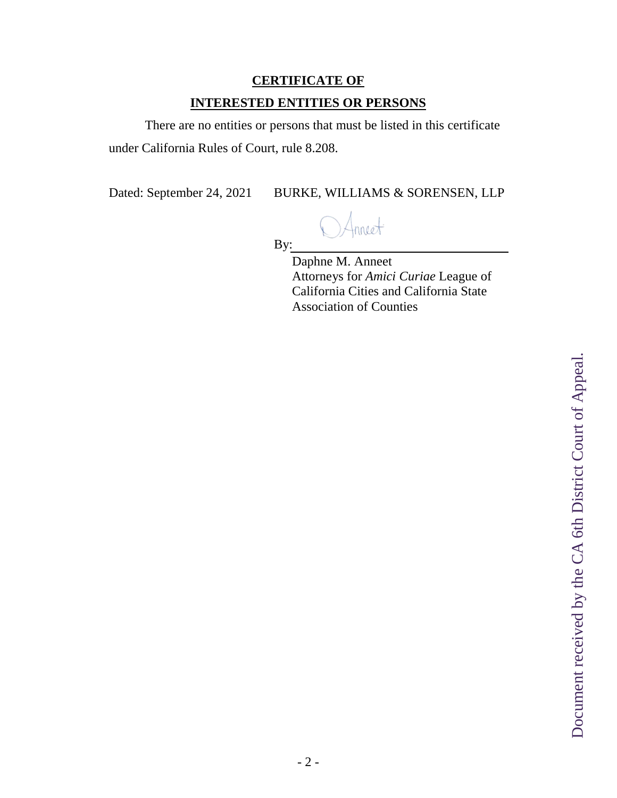# **CERTIFICATE OF INTERESTED ENTITIES OR PERSONS**

There are no entities or persons that must be listed in this certificate under California Rules of Court, rule 8.208.

Dated: September 24, 2021 BURKE, WILLIAMS & SORENSEN, LLP

nneet

By:

Daphne M. Anneet Attorneys for *Amici Curiae* League of California Cities and California State Association of Counties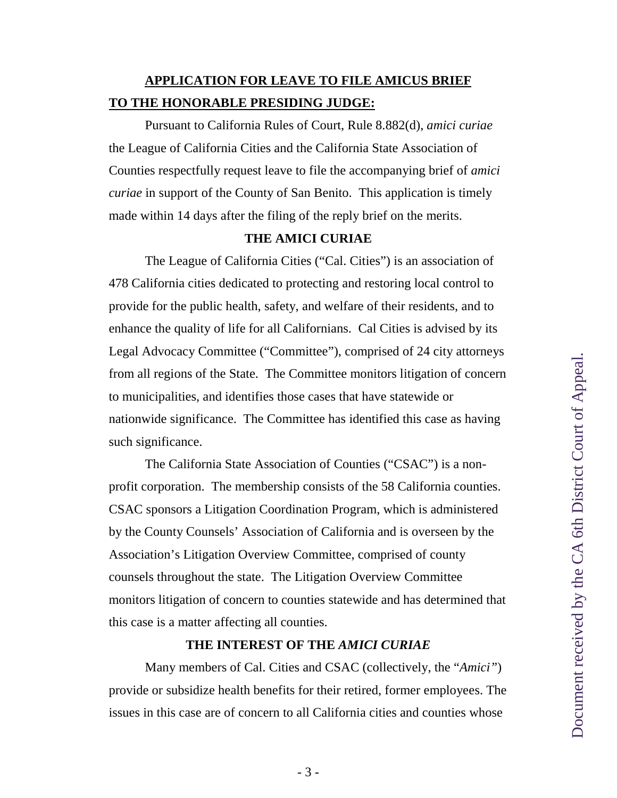## **APPLICATION FOR LEAVE TO FILE AMICUS BRIEF TO THE HONORABLE PRESIDING JUDGE:**

Pursuant to California Rules of Court, Rule 8.882(d), *amici curiae* the League of California Cities and the California State Association of Counties respectfully request leave to file the accompanying brief of *amici curiae* in support of the County of San Benito. This application is timely made within 14 days after the filing of the reply brief on the merits.

#### **THE AMICI CURIAE**

The League of California Cities ("Cal. Cities") is an association of 478 California cities dedicated to protecting and restoring local control to provide for the public health, safety, and welfare of their residents, and to enhance the quality of life for all Californians. Cal Cities is advised by its Legal Advocacy Committee ("Committee"), comprised of 24 city attorneys from all regions of the State. The Committee monitors litigation of concern to municipalities, and identifies those cases that have statewide or nationwide significance. The Committee has identified this case as having such significance.

The California State Association of Counties ("CSAC") is a nonprofit corporation. The membership consists of the 58 California counties. CSAC sponsors a Litigation Coordination Program, which is administered by the County Counsels' Association of California and is overseen by the Association's Litigation Overview Committee, comprised of county counsels throughout the state. The Litigation Overview Committee monitors litigation of concern to counties statewide and has determined that this case is a matter affecting all counties.

#### **THE INTEREST OF THE** *AMICI CURIAE*

Many members of Cal. Cities and CSAC (collectively, the "*Amici"*) provide or subsidize health benefits for their retired, former employees. The issues in this case are of concern to all California cities and counties whose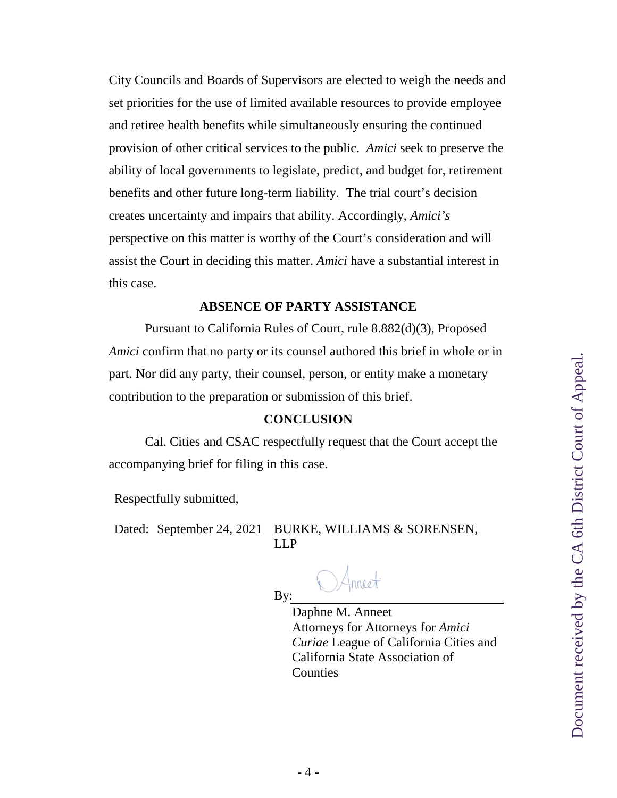City Councils and Boards of Supervisors are elected to weigh the needs and set priorities for the use of limited available resources to provide employee and retiree health benefits while simultaneously ensuring the continued provision of other critical services to the public. *Amici* seek to preserve the ability of local governments to legislate, predict, and budget for, retirement benefits and other future long-term liability. The trial court's decision creates uncertainty and impairs that ability. Accordingly, *Amici's* perspective on this matter is worthy of the Court's consideration and will assist the Court in deciding this matter. *Amici* have a substantial interest in this case.

#### **ABSENCE OF PARTY ASSISTANCE**

Pursuant to California Rules of Court, rule 8.882(d)(3), Proposed *Amici* confirm that no party or its counsel authored this brief in whole or in part. Nor did any party, their counsel, person, or entity make a monetary contribution to the preparation or submission of this brief.

#### **CONCLUSION**

Cal. Cities and CSAC respectfully request that the Court accept the accompanying brief for filing in this case.

Respectfully submitted,

Dated: September 24, 2021 BURKE, WILLIAMS & SORENSEN, LLP

By:

Daphne M. Anneet Attorneys for Attorneys for *Amici Curiae* League of California Cities and California State Association of **Counties**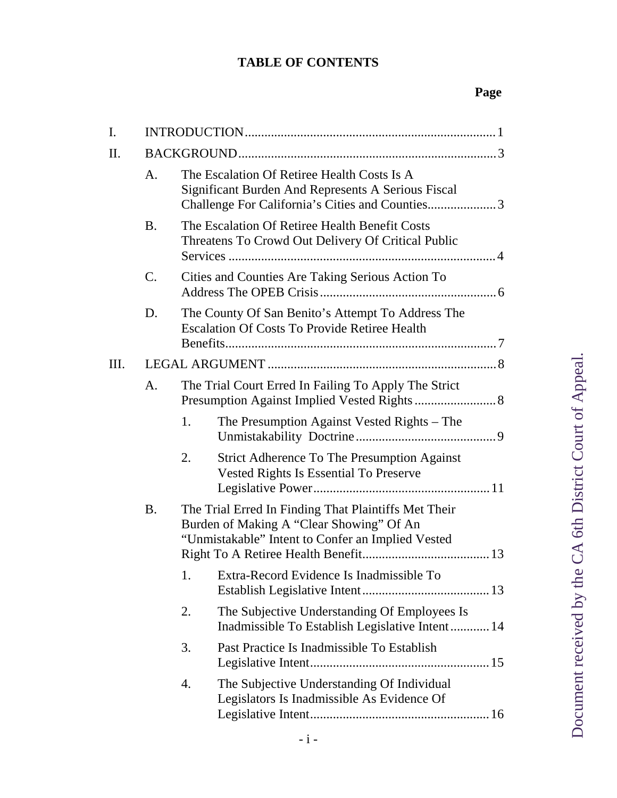## **TABLE OF CONTENTS**

| I. |           |    |                                                                                                                                                       |  |
|----|-----------|----|-------------------------------------------------------------------------------------------------------------------------------------------------------|--|
| Π. |           |    |                                                                                                                                                       |  |
|    | A.        |    | The Escalation Of Retiree Health Costs Is A<br>Significant Burden And Represents A Serious Fiscal<br>Challenge For California's Cities and Counties3  |  |
|    | <b>B.</b> |    | The Escalation Of Retiree Health Benefit Costs<br>Threatens To Crowd Out Delivery Of Critical Public                                                  |  |
|    | C.        |    | Cities and Counties Are Taking Serious Action To                                                                                                      |  |
|    | D.        |    | The County Of San Benito's Attempt To Address The<br><b>Escalation Of Costs To Provide Retiree Health</b>                                             |  |
| Ш. |           |    |                                                                                                                                                       |  |
|    | A.        |    | The Trial Court Erred In Failing To Apply The Strict                                                                                                  |  |
|    |           | 1. | The Presumption Against Vested Rights – The                                                                                                           |  |
|    |           | 2. | <b>Strict Adherence To The Presumption Against</b><br>Vested Rights Is Essential To Preserve                                                          |  |
|    | <b>B.</b> |    | The Trial Erred In Finding That Plaintiffs Met Their<br>Burden of Making A "Clear Showing" Of An<br>"Unmistakable" Intent to Confer an Implied Vested |  |
|    |           |    | 1. Extra-Record Evidence Is Inadmissible To                                                                                                           |  |
|    |           | 2. | The Subjective Understanding Of Employees Is<br>Inadmissible To Establish Legislative Intent 14                                                       |  |
|    |           | 3. | Past Practice Is Inadmissible To Establish                                                                                                            |  |
|    |           | 4. | The Subjective Understanding Of Individual<br>Legislators Is Inadmissible As Evidence Of                                                              |  |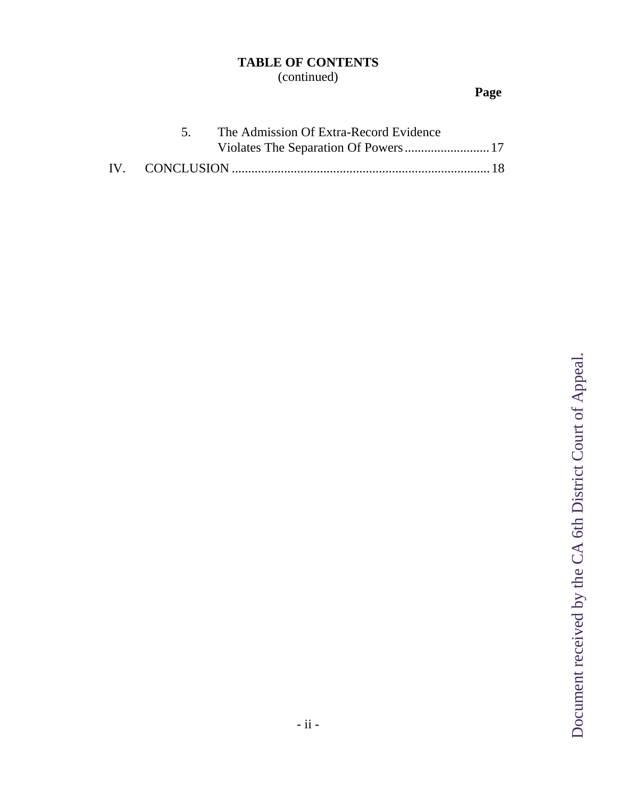# **TABLE OF CONTENTS**

(continued)

# **Page**

|  | 5. The Admission Of Extra-Record Evidence |  |
|--|-------------------------------------------|--|
|  |                                           |  |
|  |                                           |  |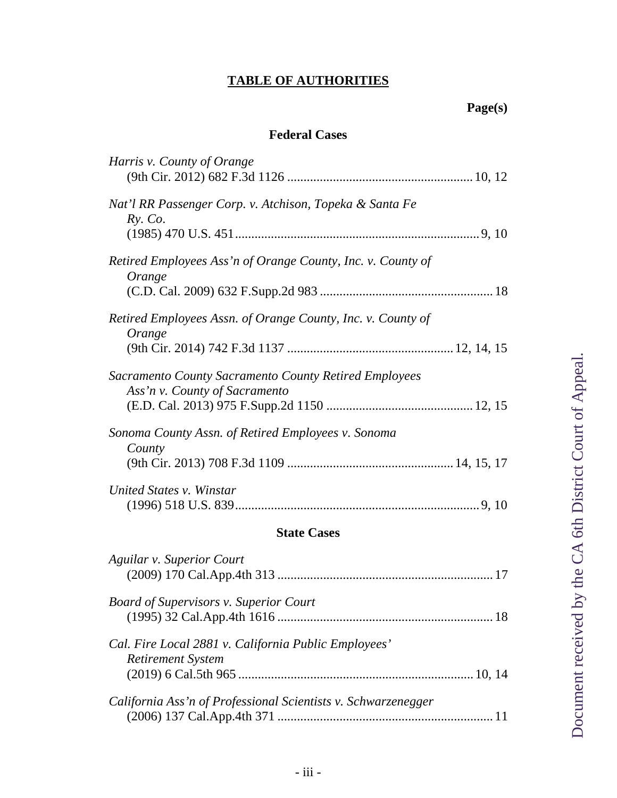### **TABLE OF AUTHORITIES**

## **Page(s)**

#### **Federal Cases**

| Harris v. County of Orange                                                             |
|----------------------------------------------------------------------------------------|
| Nat'l RR Passenger Corp. v. Atchison, Topeka & Santa Fe<br>$Ry$ . Co.                  |
| Retired Employees Ass'n of Orange County, Inc. v. County of<br>Orange                  |
| Retired Employees Assn. of Orange County, Inc. v. County of<br>Orange                  |
| Sacramento County Sacramento County Retired Employees<br>Ass'n v. County of Sacramento |
| Sonoma County Assn. of Retired Employees v. Sonoma<br>County                           |
| United States v. Winstar                                                               |
| <b>State Cases</b>                                                                     |
| Aguilar v. Superior Court                                                              |
| <b>Board of Supervisors v. Superior Court</b>                                          |
| Cal. Fire Local 2881 v. California Public Employees'<br><b>Retirement System</b>       |
| California Ass'n of Professional Scientists v. Schwarzenegger                          |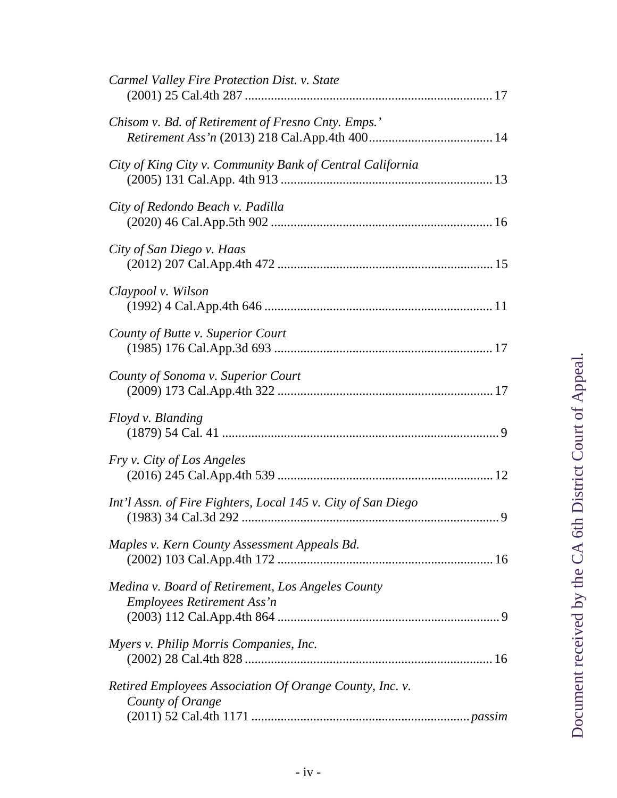| Carmel Valley Fire Protection Dist. v. State                                           |
|----------------------------------------------------------------------------------------|
| Chisom v. Bd. of Retirement of Fresno Cnty. Emps.'                                     |
| City of King City v. Community Bank of Central California                              |
| City of Redondo Beach v. Padilla                                                       |
| City of San Diego v. Haas                                                              |
| Claypool v. Wilson                                                                     |
| County of Butte v. Superior Court                                                      |
| County of Sonoma v. Superior Court                                                     |
| Floyd v. Blanding                                                                      |
| Fry v. City of Los Angeles                                                             |
| Int'l Assn. of Fire Fighters, Local 145 v. City of San Diego                           |
| Maples v. Kern County Assessment Appeals Bd.                                           |
| Medina v. Board of Retirement, Los Angeles County<br><b>Employees Retirement Ass'n</b> |
| Myers v. Philip Morris Companies, Inc.                                                 |
| Retired Employees Association Of Orange County, Inc. v.<br>County of Orange            |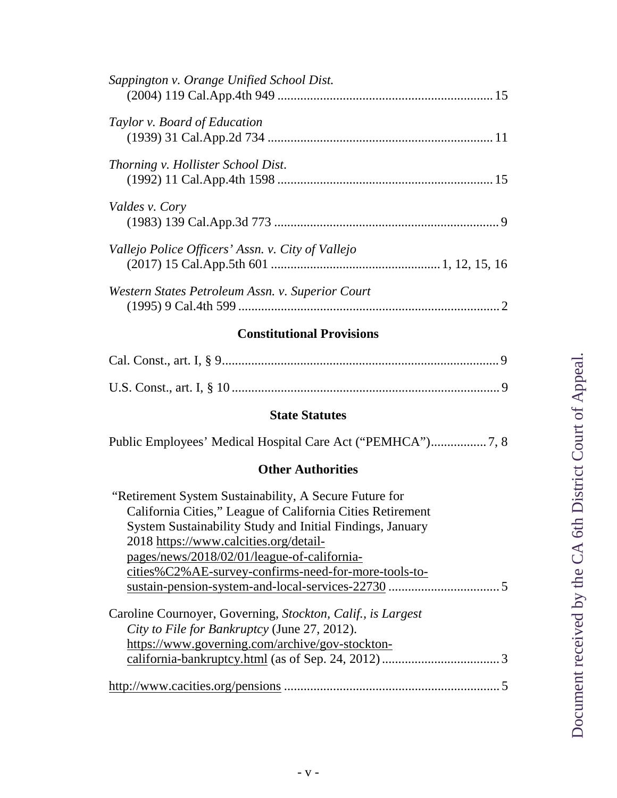| Sappington v. Orange Unified School Dist.         |  |
|---------------------------------------------------|--|
| Taylor v. Board of Education                      |  |
| <i>Thorning v. Hollister School Dist.</i>         |  |
| Valdes v. Cory                                    |  |
| Vallejo Police Officers' Assn. v. City of Vallejo |  |
| Western States Petroleum Assn. v. Superior Court  |  |

### **Constitutional Provisions**

#### **State Statutes**

|--|--|--|--|

### **Other Authorities**

| "Retirement System Sustainability, A Secure Future for      |
|-------------------------------------------------------------|
| California Cities," League of California Cities Retirement  |
| System Sustainability Study and Initial Findings, January   |
| 2018 https://www.calcities.org/detail-                      |
| pages/news/2018/02/01/league-of-california-                 |
| cities%C2%AE-survey-confirms-need-for-more-tools-to-        |
|                                                             |
|                                                             |
| Caroline Cournoyer, Governing, Stockton, Calif., is Largest |
| City to File for Bankruptcy (June 27, 2012).                |
| https://www.governing.com/archive/gov-stockton-             |
|                                                             |
|                                                             |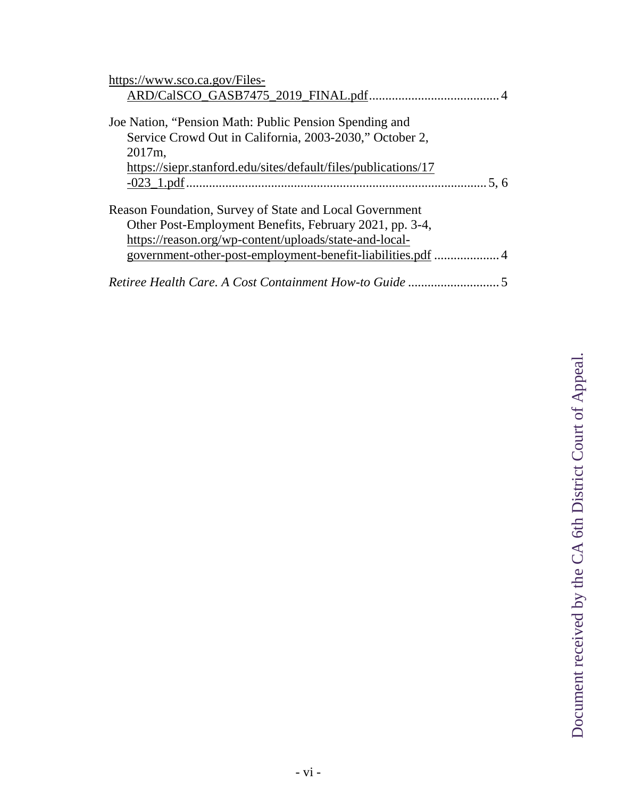| https://www.sco.ca.gov/Files-                                  |
|----------------------------------------------------------------|
|                                                                |
|                                                                |
| Joe Nation, "Pension Math: Public Pension Spending and         |
| Service Crowd Out in California, 2003-2030," October 2,        |
| 2017m,                                                         |
| https://siepr.stanford.edu/sites/default/files/publications/17 |
|                                                                |
|                                                                |
| Reason Foundation, Survey of State and Local Government        |
| Other Post-Employment Benefits, February 2021, pp. 3-4,        |
| https://reason.org/wp-content/uploads/state-and-local-         |
| government-other-post-employment-benefit-liabilities.pdf 4     |
|                                                                |
| Retiree Health Care. A Cost Containment How-to Guide           |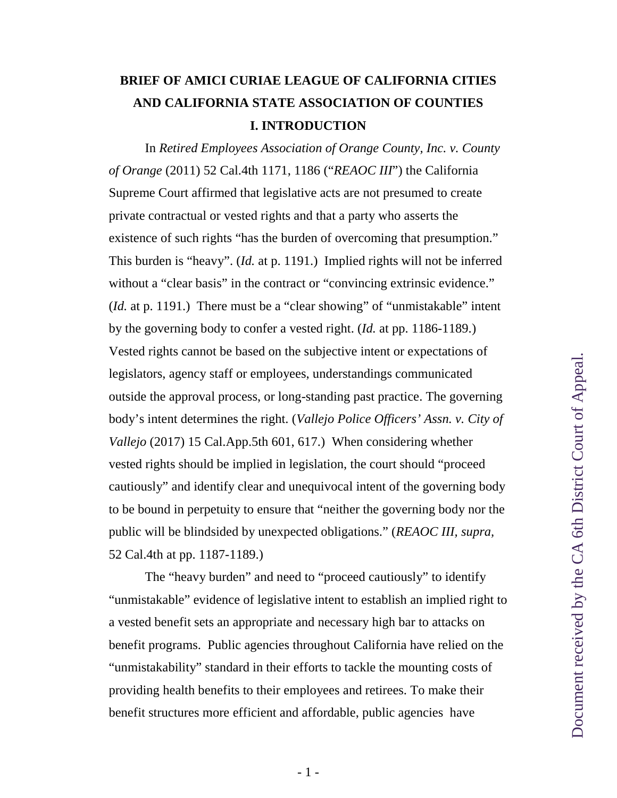# **BRIEF OF AMICI CURIAE LEAGUE OF CALIFORNIA CITIES AND CALIFORNIA STATE ASSOCIATION OF COUNTIES I. INTRODUCTION**

<span id="page-10-0"></span>In *Retired Employees Association of Orange County, Inc. v. County of Orange* (2011) 52 Cal.4th 1171, 1186 ("*REAOC III*") the California Supreme Court affirmed that legislative acts are not presumed to create private contractual or vested rights and that a party who asserts the existence of such rights "has the burden of overcoming that presumption." This burden is "heavy". (*Id.* at p. 1191.) Implied rights will not be inferred without a "clear basis" in the contract or "convincing extrinsic evidence." (*Id.* at p. 1191.) There must be a "clear showing" of "unmistakable" intent by the governing body to confer a vested right. (*Id.* at pp. 1186-1189.) Vested rights cannot be based on the subjective intent or expectations of legislators, agency staff or employees, understandings communicated outside the approval process, or long-standing past practice. The governing body's intent determines the right. (*Vallejo Police Officers' Assn. v. City of Vallejo* (2017) 15 Cal.App.5th 601, 617.) When considering whether vested rights should be implied in legislation, the court should "proceed cautiously" and identify clear and unequivocal intent of the governing body to be bound in perpetuity to ensure that "neither the governing body nor the public will be blindsided by unexpected obligations." (*REAOC III, supra,* 52 Cal.4th at pp. 1187-1189.)

<span id="page-10-1"></span>The "heavy burden" and need to "proceed cautiously" to identify "unmistakable" evidence of legislative intent to establish an implied right to a vested benefit sets an appropriate and necessary high bar to attacks on benefit programs. Public agencies throughout California have relied on the "unmistakability" standard in their efforts to tackle the mounting costs of providing health benefits to their employees and retirees. To make their benefit structures more efficient and affordable, public agencies have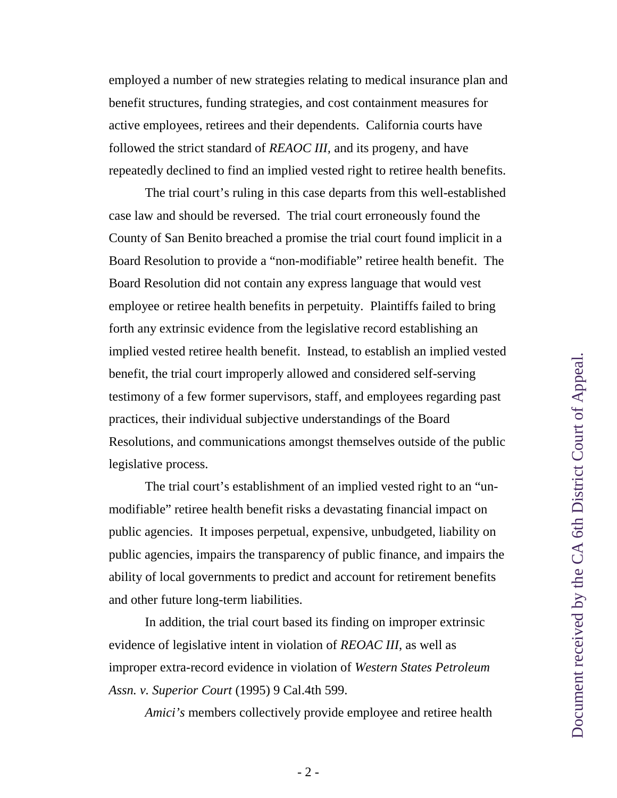employed a number of new strategies relating to medical insurance plan and benefit structures, funding strategies, and cost containment measures for active employees, retirees and their dependents. California courts have followed the strict standard of *REAOC III,* and its progeny, and have repeatedly declined to find an implied vested right to retiree health benefits.

The trial court's ruling in this case departs from this well-established case law and should be reversed. The trial court erroneously found the County of San Benito breached a promise the trial court found implicit in a Board Resolution to provide a "non-modifiable" retiree health benefit. The Board Resolution did not contain any express language that would vest employee or retiree health benefits in perpetuity. Plaintiffs failed to bring forth any extrinsic evidence from the legislative record establishing an implied vested retiree health benefit. Instead, to establish an implied vested benefit, the trial court improperly allowed and considered self-serving testimony of a few former supervisors, staff, and employees regarding past practices, their individual subjective understandings of the Board Resolutions, and communications amongst themselves outside of the public legislative process.

The trial court's establishment of an implied vested right to an "unmodifiable" retiree health benefit risks a devastating financial impact on public agencies. It imposes perpetual, expensive, unbudgeted, liability on public agencies, impairs the transparency of public finance, and impairs the ability of local governments to predict and account for retirement benefits and other future long-term liabilities.

In addition, the trial court based its finding on improper extrinsic evidence of legislative intent in violation of *REOAC III*, as well as improper extra-record evidence in violation of *Western States Petroleum Assn. v. Superior Court* (1995) 9 Cal.4th 599.

<span id="page-11-0"></span>*Amici's* members collectively provide employee and retiree health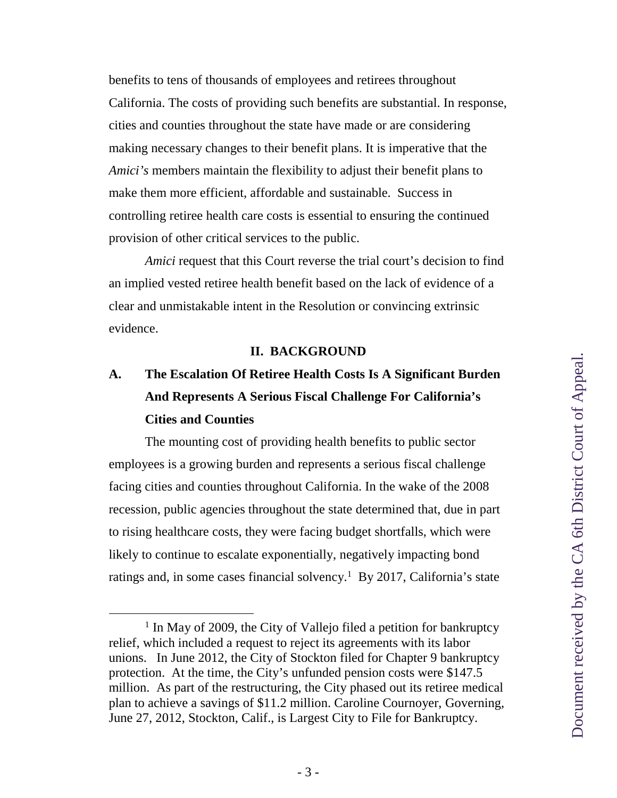benefits to tens of thousands of employees and retirees throughout California. The costs of providing such benefits are substantial. In response, cities and counties throughout the state have made or are considering making necessary changes to their benefit plans. It is imperative that the *Amici's* members maintain the flexibility to adjust their benefit plans to make them more efficient, affordable and sustainable. Success in controlling retiree health care costs is essential to ensuring the continued provision of other critical services to the public.

*Amici* request that this Court reverse the trial court's decision to find an implied vested retiree health benefit based on the lack of evidence of a clear and unmistakable intent in the Resolution or convincing extrinsic evidence.

#### **II. BACKGROUND**

# **A. The Escalation Of Retiree Health Costs Is A Significant Burden And Represents A Serious Fiscal Challenge For California's Cities and Counties**

The mounting cost of providing health benefits to public sector employees is a growing burden and represents a serious fiscal challenge facing cities and counties throughout California. In the wake of the 2008 recession, public agencies throughout the state determined that, due in part to rising healthcare costs, they were facing budget shortfalls, which were likely to continue to escalate exponentially, negatively impacting bond ratings and, in some cases financial solvency.<sup>[1](#page-12-1)</sup> By 2017, California's state

<span id="page-12-1"></span><span id="page-12-0"></span><sup>&</sup>lt;sup>1</sup> In May of 2009, the City of Vallejo filed a petition for bankruptcy relief, which included a request to reject its agreements with its labor unions. In June 2012, the City of Stockton filed for Chapter 9 bankruptcy protection. At the time, the City's unfunded pension costs were \$147.5 million. As part of the restructuring, the City phased out its retiree medical plan to achieve a savings of \$11.2 million. Caroline Cournoyer, Governing, June 27, 2012, Stockton, Calif., is Largest City to File for Bankruptcy.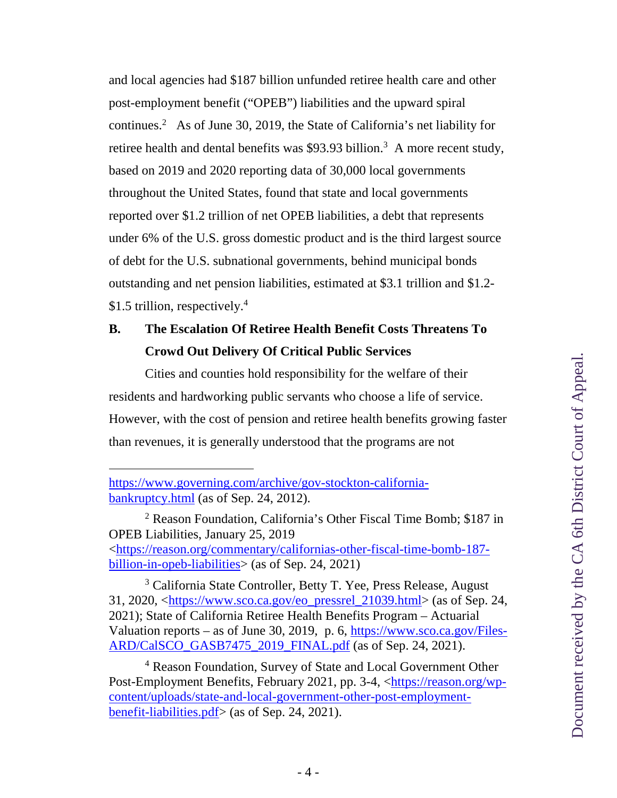and local agencies had \$187 billion unfunded retiree health care and other post-employment benefit ("OPEB") liabilities and the upward spiral continues.[2](#page-13-2) As of June 30, 2019, the State of California's net liability for retiree health and dental benefits was \$9[3](#page-13-3).93 billion.<sup>3</sup> A more recent study, based on 2019 and 2020 reporting data of 30,000 local governments throughout the United States, found that state and local governments reported over \$1.2 trillion of net OPEB liabilities, a debt that represents under 6% of the U.S. gross domestic product and is the third largest source of debt for the U.S. subnational governments, behind municipal bonds outstanding and net pension liabilities, estimated at \$3.1 trillion and \$1.2- \$1.5 trillion, respectively.<sup>[4](#page-13-4)</sup>

# **B. The Escalation Of Retiree Health Benefit Costs Threatens To Crowd Out Delivery Of Critical Public Services**

Cities and counties hold responsibility for the welfare of their residents and hardworking public servants who choose a life of service. However, with the cost of pension and retiree health benefits growing faster than revenues, it is generally understood that the programs are not

https://www.governing.com/archive/gov-stockton-californiabankruptcy.html (as of Sep. 24, 2012).

<span id="page-13-2"></span><sup>2</sup> Reason Foundation, California's Other Fiscal Time Bomb; \$187 in OPEB Liabilities, January 25, 2019 <https://reason.org/commentary/californias-other-fiscal-time-bomb-187 billion-in-opeb-liabilities> (as of Sep. 24, 2021)

<span id="page-13-3"></span><span id="page-13-0"></span><sup>3</sup> California State Controller, Betty T. Yee, Press Release, August 31, 2020, <https://www.sco.ca.gov/eo\_pressrel\_21039.html> (as of Sep. 24, 2021); State of California Retiree Health Benefits Program – Actuarial Valuation reports – as of June 30, 2019, p. 6, https://www.sco.ca.gov/Files-ARD/CalSCO\_GASB7475\_2019\_FINAL.pdf (as of Sep. 24, 2021).

<span id="page-13-4"></span><span id="page-13-1"></span><sup>4</sup> Reason Foundation, Survey of State and Local Government Other Post-Employment Benefits, February 2021, pp. 3-4, <https://reason.org/wpcontent/uploads/state-and-local-government-other-post-employmentbenefit-liabilities.pdf> (as of Sep. 24, 2021).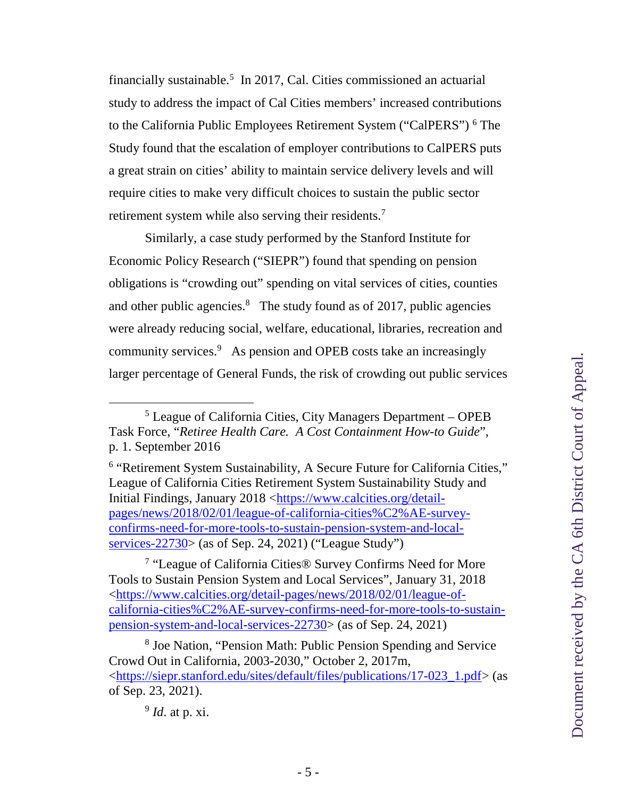financially sustainable.<sup>[5](#page-14-5)</sup> In 2017, Cal. Cities commissioned an actuarial study to address the impact of Cal Cities members' increased contributions to the California Public Employees Retirement System ("CalPERS")<sup>[6](#page-14-6)</sup> The Study found that the escalation of employer contributions to CalPERS puts a great strain on cities' ability to maintain service delivery levels and will require cities to make very difficult choices to sustain the public sector retirement system while also serving their residents.<sup>[7](#page-14-7)</sup>

Similarly, a case study performed by the Stanford Institute for Economic Policy Research ("SIEPR") found that spending on pension obligations is "crowding out" spending on vital services of cities, counties and other public agencies.<sup>[8](#page-14-8)</sup> The study found as of 2017, public agencies were already reducing social, welfare, educational, libraries, recreation and community services.[9](#page-14-9) As pension and OPEB costs take an increasingly larger percentage of General Funds, the risk of crowding out public services

<span id="page-14-5"></span><span id="page-14-4"></span><sup>5</sup> League of California Cities, City Managers Department – OPEB Task Force, "*Retiree Health Care. A Cost Containment How-to Guide*", p. 1. September 2016

<span id="page-14-6"></span><span id="page-14-0"></span><sup>&</sup>lt;sup>6</sup> "Retirement System Sustainability, A Secure Future for California Cities," League of California Cities Retirement System Sustainability Study and Initial Findings, January 2018 <https://www.calcities.org/detailpages/news/2018/02/01/league-of-california-cities%C2%AE-surveyconfirms-need-for-more-tools-to-sustain-pension-system-and-localservices-22730> (as of Sep. 24, 2021) ("League Study")

<span id="page-14-7"></span><sup>&</sup>lt;sup>7</sup> "League of California Cities® Survey Confirms Need for More Tools to Sustain Pension System and Local Services", January 31, 2018 <https://www.calcities.org/detail-pages/news/2018/02/01/league-ofcalifornia-cities%C2%AE-survey-confirms-need-for-more-tools-to-sustainpension-system-and-local-services-22730> (as of Sep. 24, 2021)

<span id="page-14-8"></span><span id="page-14-2"></span><sup>8</sup> Joe Nation, "Pension Math: Public Pension Spending and Service Crowd Out in California, 2003-2030," October 2, 2017m, <https://siepr.stanford.edu/sites/default/files/publications/17-023\_1.pdf> (as of Sep. 23, 2021).

<span id="page-14-1"></span>Document received by the CA 6th District Court of Appeal. Document received by the CA 6th District Court of Appeal.

<span id="page-14-9"></span><span id="page-14-3"></span><sup>9</sup> *Id*. at p. xi.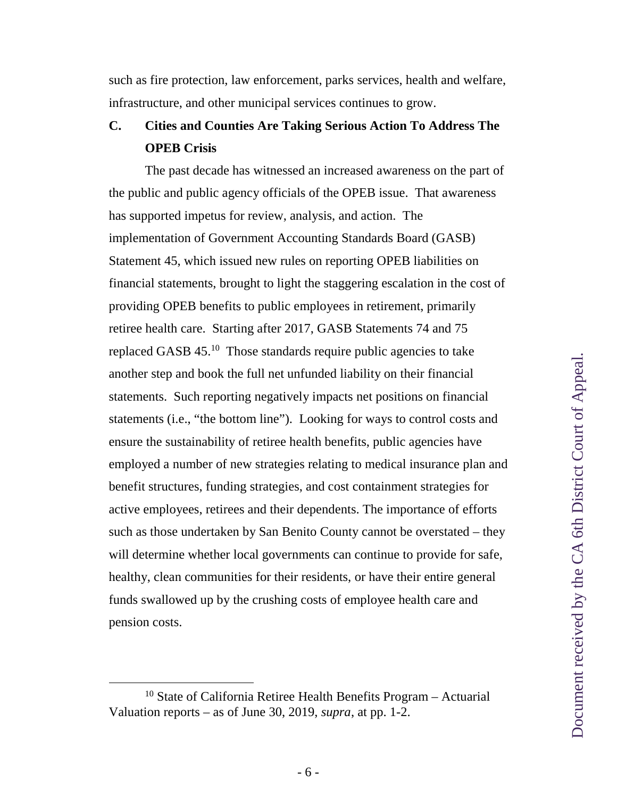such as fire protection, law enforcement, parks services, health and welfare, infrastructure, and other municipal services continues to grow.

## **C. Cities and Counties Are Taking Serious Action To Address The OPEB Crisis**

The past decade has witnessed an increased awareness on the part of the public and public agency officials of the OPEB issue. That awareness has supported impetus for review, analysis, and action. The implementation of Government Accounting Standards Board (GASB) Statement 45, which issued new rules on reporting OPEB liabilities on financial statements, brought to light the staggering escalation in the cost of providing OPEB benefits to public employees in retirement, primarily retiree health care. Starting after 2017, GASB Statements 74 and 75 replaced GASB45[.](#page-15-0)<sup>10</sup> Those standards require public agencies to take another step and book the full net unfunded liability on their financial statements. Such reporting negatively impacts net positions on financial statements (i.e., "the bottom line"). Looking for ways to control costs and ensure the sustainability of retiree health benefits, public agencies have employed a number of new strategies relating to medical insurance plan and benefit structures, funding strategies, and cost containment strategies for active employees, retirees and their dependents. The importance of efforts such as those undertaken by San Benito County cannot be overstated – they will determine whether local governments can continue to provide for safe, healthy, clean communities for their residents, or have their entire general funds swallowed up by the crushing costs of employee health care and pension costs.

<span id="page-15-0"></span> $10$  State of California Retiree Health Benefits Program – Actuarial Valuation reports – as of June 30, 2019, *supra*, at pp. 1-2.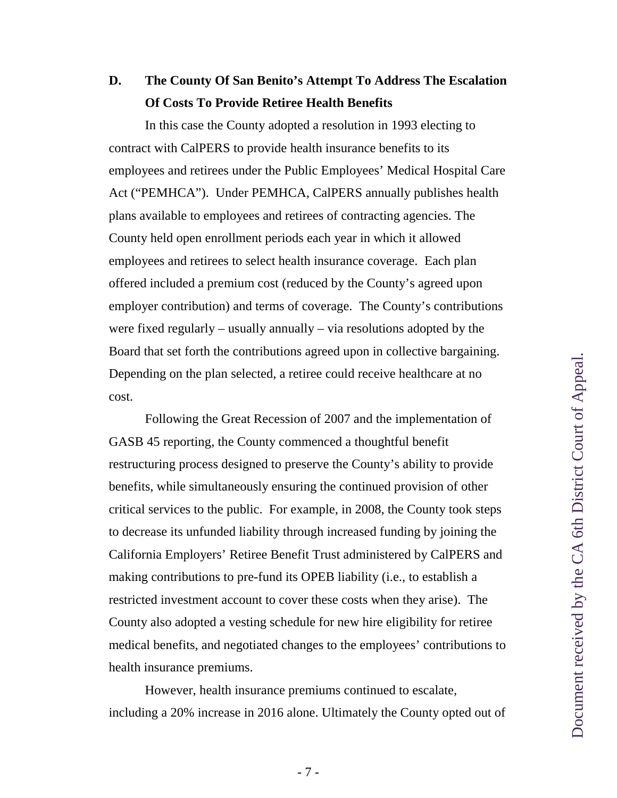## **D. The County Of San Benito's Attempt To Address The Escalation Of Costs To Provide Retiree Health Benefits**

<span id="page-16-0"></span>In this case the County adopted a resolution in 1993 electing to contract with CalPERS to provide health insurance benefits to its employees and retirees under the Public Employees' Medical Hospital Care Act ("PEMHCA"). Under PEMHCA, CalPERS annually publishes health plans available to employees and retirees of contracting agencies. The County held open enrollment periods each year in which it allowed employees and retirees to select health insurance coverage. Each plan offered included a premium cost (reduced by the County's agreed upon employer contribution) and terms of coverage. The County's contributions were fixed regularly – usually annually – via resolutions adopted by the Board that set forth the contributions agreed upon in collective bargaining. Depending on the plan selected, a retiree could receive healthcare at no cost.

Following the Great Recession of 2007 and the implementation of GASB 45 reporting, the County commenced a thoughtful benefit restructuring process designed to preserve the County's ability to provide benefits, while simultaneously ensuring the continued provision of other critical services to the public. For example, in 2008, the County took steps to decrease its unfunded liability through increased funding by joining the California Employers' Retiree Benefit Trust administered by CalPERS and making contributions to pre-fund its OPEB liability (i.e., to establish a restricted investment account to cover these costs when they arise). The County also adopted a vesting schedule for new hire eligibility for retiree medical benefits, and negotiated changes to the employees' contributions to health insurance premiums.

However, health insurance premiums continued to escalate, including a 20% increase in 2016 alone. Ultimately the County opted out of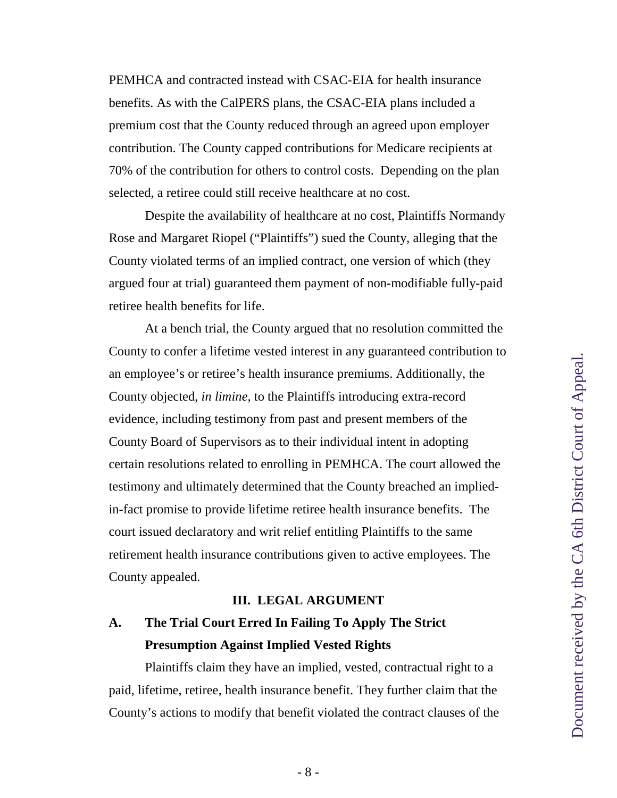<span id="page-17-0"></span>PEMHCA and contracted instead with CSAC-EIA for health insurance benefits. As with the CalPERS plans, the CSAC-EIA plans included a premium cost that the County reduced through an agreed upon employer contribution. The County capped contributions for Medicare recipients at 70% of the contribution for others to control costs. Depending on the plan selected, a retiree could still receive healthcare at no cost.

Despite the availability of healthcare at no cost, Plaintiffs Normandy Rose and Margaret Riopel ("Plaintiffs") sued the County, alleging that the County violated terms of an implied contract, one version of which (they argued four at trial) guaranteed them payment of non-modifiable fully-paid retiree health benefits for life.

At a bench trial, the County argued that no resolution committed the County to confer a lifetime vested interest in any guaranteed contribution to an employee's or retiree's health insurance premiums. Additionally, the County objected, *in limine*, to the Plaintiffs introducing extra-record evidence, including testimony from past and present members of the County Board of Supervisors as to their individual intent in adopting certain resolutions related to enrolling in PEMHCA. The court allowed the testimony and ultimately determined that the County breached an impliedin-fact promise to provide lifetime retiree health insurance benefits. The court issued declaratory and writ relief entitling Plaintiffs to the same retirement health insurance contributions given to active employees. The County appealed.

#### **III. LEGAL ARGUMENT**

# **A. The Trial Court Erred In Failing To Apply The Strict Presumption Against Implied Vested Rights**

Plaintiffs claim they have an implied, vested, contractual right to a paid, lifetime, retiree, health insurance benefit. They further claim that the County's actions to modify that benefit violated the contract clauses of the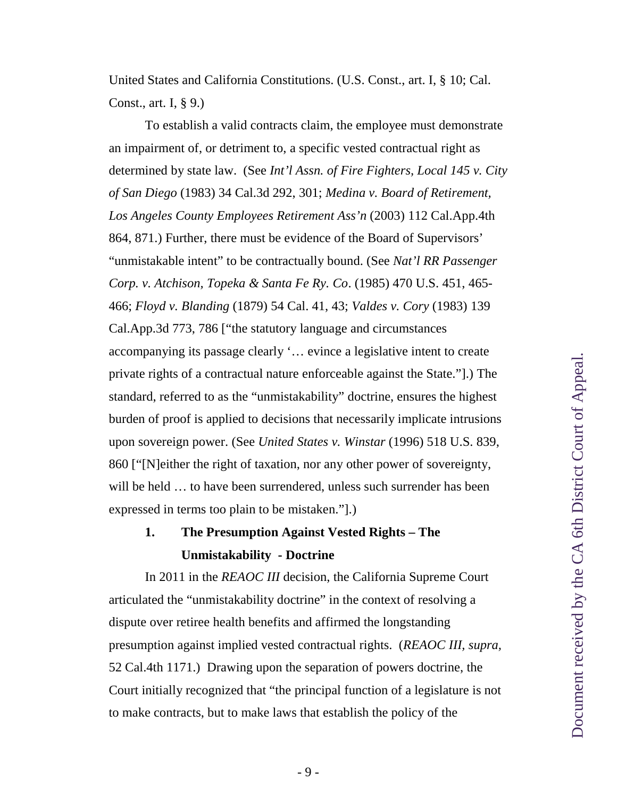<span id="page-18-7"></span><span id="page-18-6"></span>United States and California Constitutions. (U.S. Const., art. I, § 10; Cal. Const., art. I, § 9.)

<span id="page-18-5"></span><span id="page-18-4"></span><span id="page-18-3"></span><span id="page-18-2"></span><span id="page-18-0"></span>To establish a valid contracts claim, the employee must demonstrate an impairment of, or detriment to, a specific vested contractual right as determined by state law. (See *Int'l Assn. of Fire Fighters, Local 145 v. City of San Diego* (1983) 34 Cal.3d 292, 301; *Medina v. Board of Retirement, Los Angeles County Employees Retirement Ass'n* (2003) 112 Cal.App.4th 864, 871.) Further, there must be evidence of the Board of Supervisors' "unmistakable intent" to be contractually bound. (See *Nat'l RR Passenger Corp. v. Atchison, Topeka & Santa Fe Ry. Co*. (1985) 470 U.S. 451, 465- 466; *Floyd v. Blanding* (1879) 54 Cal. 41, 43; *Valdes v. Cory* (1983) 139 Cal.App.3d 773, 786 ["the statutory language and circumstances accompanying its passage clearly '… evince a legislative intent to create private rights of a contractual nature enforceable against the State."].) The standard, referred to as the "unmistakability" doctrine, ensures the highest burden of proof is applied to decisions that necessarily implicate intrusions upon sovereign power. (See *United States v. Winstar* (1996) 518 U.S. 839, 860 ["[N]either the right of taxation, nor any other power of sovereignty, will be held … to have been surrendered, unless such surrender has been expressed in terms too plain to be mistaken."].)

# <span id="page-18-1"></span>**1. The Presumption Against Vested Rights – The Unmistakability - Doctrine**

In 2011 in the *REAOC III* decision, the California Supreme Court articulated the "unmistakability doctrine" in the context of resolving a dispute over retiree health benefits and affirmed the longstanding presumption against implied vested contractual rights. (*REAOC III, supra,* 52 Cal.4th 1171.) Drawing upon the separation of powers doctrine, the Court initially recognized that "the principal function of a legislature is not to make contracts, but to make laws that establish the policy of the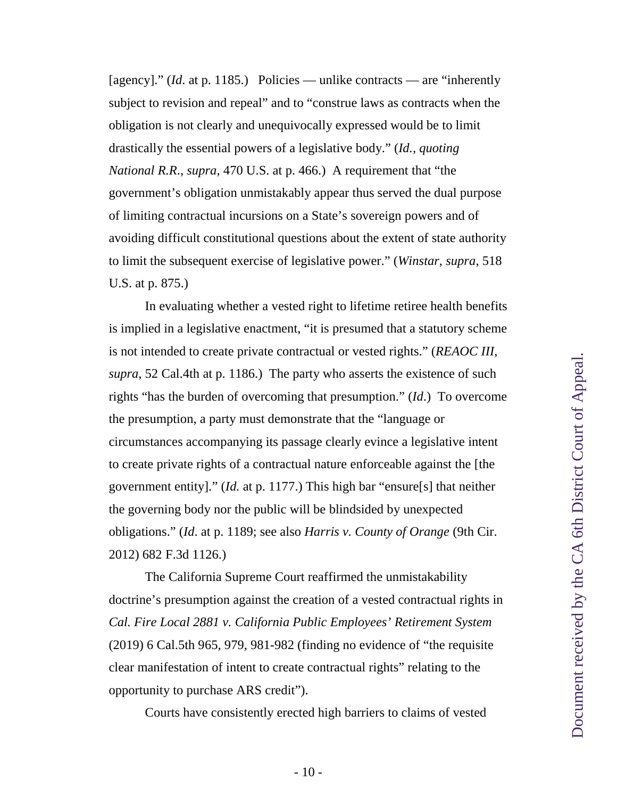<span id="page-19-1"></span>[agency]." (*Id.* at p. 1185.) Policies — unlike contracts — are "inherently subject to revision and repeal" and to "construe laws as contracts when the obligation is not clearly and unequivocally expressed would be to limit drastically the essential powers of a legislative body." (*Id., quoting National R.R*., *supra*, 470 U.S. at p. 466.) A requirement that "the government's obligation unmistakably appear thus served the dual purpose of limiting contractual incursions on a State's sovereign powers and of avoiding difficult constitutional questions about the extent of state authority to limit the subsequent exercise of legislative power." (*Winstar*, *supra*, 518 U.S. at p. 875.)

<span id="page-19-2"></span>In evaluating whether a vested right to lifetime retiree health benefits is implied in a legislative enactment, "it is presumed that a statutory scheme is not intended to create private contractual or vested rights." (*REAOC III*, *supra*, 52 Cal.4th at p. 1186.) The party who asserts the existence of such rights "has the burden of overcoming that presumption." (*Id*.) To overcome the presumption, a party must demonstrate that the "language or circumstances accompanying its passage clearly evince a legislative intent to create private rights of a contractual nature enforceable against the [the government entity]." (*Id.* at p. 1177.) This high bar "ensure[s] that neither the governing body nor the public will be blindsided by unexpected obligations." (*Id*. at p. 1189; see also *Harris v. County of Orange* (9th Cir. 2012) 682 F.3d 1126.)

<span id="page-19-3"></span><span id="page-19-0"></span>The California Supreme Court reaffirmed the unmistakability doctrine's presumption against the creation of a vested contractual rights in *Cal. Fire Local 2881 v. California Public Employees' Retirement System* (2019) 6 Cal.5th 965, 979, 981-982 (finding no evidence of "the requisite clear manifestation of intent to create contractual rights" relating to the opportunity to purchase ARS credit").

Courts have consistently erected high barriers to claims of vested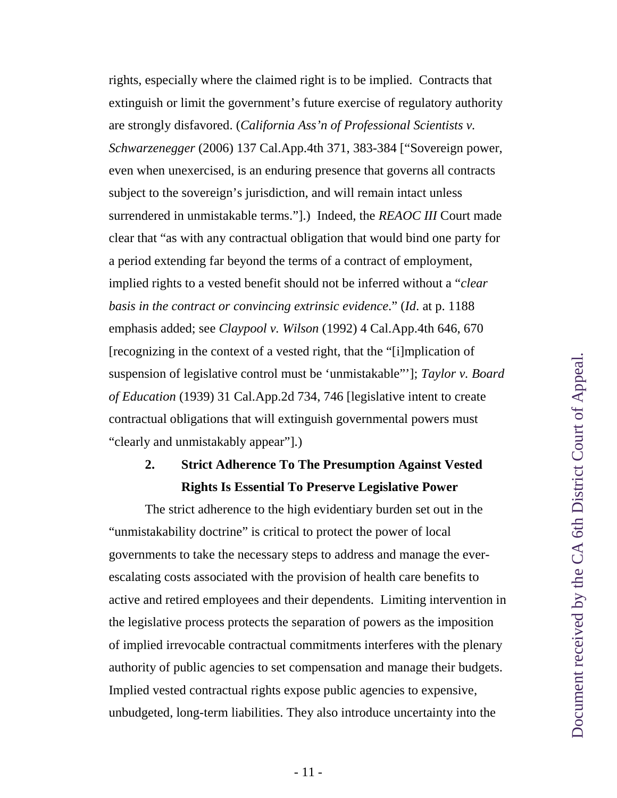<span id="page-20-0"></span>rights, especially where the claimed right is to be implied. Contracts that extinguish or limit the government's future exercise of regulatory authority are strongly disfavored. (*California Ass'n of Professional Scientists v. Schwarzenegger* (2006) 137 Cal.App.4th 371, 383-384 ["Sovereign power, even when unexercised, is an enduring presence that governs all contracts subject to the sovereign's jurisdiction, and will remain intact unless surrendered in unmistakable terms."].) Indeed, the *REAOC III* Court made clear that "as with any contractual obligation that would bind one party for a period extending far beyond the terms of a contract of employment, implied rights to a vested benefit should not be inferred without a "*clear basis in the contract or convincing extrinsic evidence*." (*Id*. at p. 1188 emphasis added; see *Claypool v. Wilson* (1992) 4 Cal.App.4th 646, 670 [recognizing in the context of a vested right, that the "[i]mplication of suspension of legislative control must be 'unmistakable"']; *Taylor v. Board of Education* (1939) 31 Cal.App.2d 734, 746 [legislative intent to create contractual obligations that will extinguish governmental powers must "clearly and unmistakably appear"].)

## <span id="page-20-2"></span><span id="page-20-1"></span>**2. Strict Adherence To The Presumption Against Vested Rights Is Essential To Preserve Legislative Power**

The strict adherence to the high evidentiary burden set out in the "unmistakability doctrine" is critical to protect the power of local governments to take the necessary steps to address and manage the everescalating costs associated with the provision of health care benefits to active and retired employees and their dependents. Limiting intervention in the legislative process protects the separation of powers as the imposition of implied irrevocable contractual commitments interferes with the plenary authority of public agencies to set compensation and manage their budgets. Implied vested contractual rights expose public agencies to expensive, unbudgeted, long-term liabilities. They also introduce uncertainty into the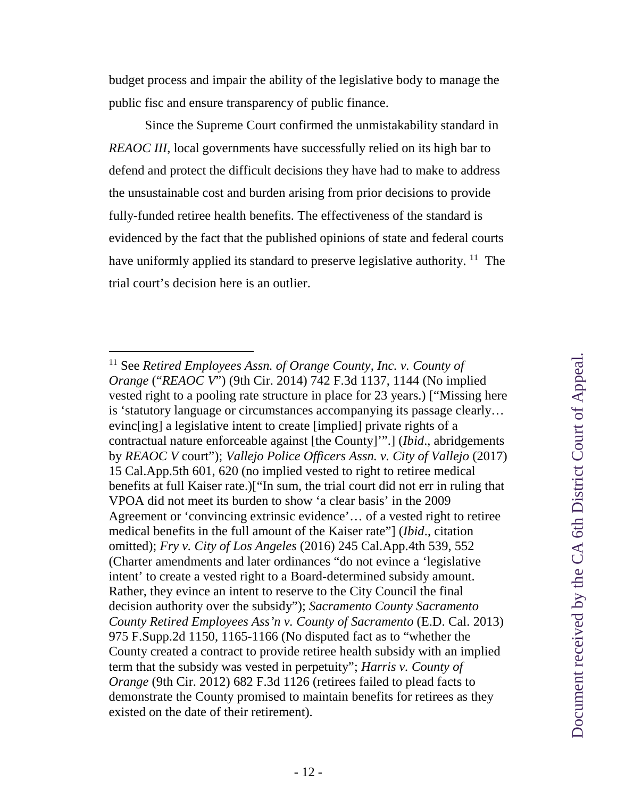budget process and impair the ability of the legislative body to manage the public fisc and ensure transparency of public finance.

Since the Supreme Court confirmed the unmistakability standard in *REAOC III*, local governments have successfully relied on its high bar to defend and protect the difficult decisions they have had to make to address the unsustainable cost and burden arising from prior decisions to provide fully-funded retiree health benefits. The effectiveness of the standard is evidenced by the fact that the published opinions of state and federal courts have uniformly applied its standard to preserve legislative authority. <sup>[11](#page-21-5)</sup> The trial court's decision here is an outlier.

<span id="page-21-5"></span><span id="page-21-4"></span><span id="page-21-3"></span><span id="page-21-2"></span><span id="page-21-1"></span><span id="page-21-0"></span><sup>11</sup> See *Retired Employees Assn. of Orange County, Inc. v. County of Orange* ("*REAOC V*") (9th Cir. 2014) 742 F.3d 1137, 1144 (No implied vested right to a pooling rate structure in place for 23 years.) ["Missing here is 'statutory language or circumstances accompanying its passage clearly… evinc[ing] a legislative intent to create [implied] private rights of a contractual nature enforceable against [the County]'".] (*Ibid*., abridgements by *REAOC V* court"); *Vallejo Police Officers Assn. v. City of Vallejo* (2017) 15 Cal.App.5th 601, 620 (no implied vested to right to retiree medical benefits at full Kaiser rate.)["In sum, the trial court did not err in ruling that VPOA did not meet its burden to show 'a clear basis' in the 2009 Agreement or 'convincing extrinsic evidence'… of a vested right to retiree medical benefits in the full amount of the Kaiser rate"] (*Ibid*., citation omitted); *Fry v. City of Los Angeles* (2016) 245 Cal.App.4th 539, 552 (Charter amendments and later ordinances "do not evince a 'legislative intent' to create a vested right to a Board-determined subsidy amount. Rather, they evince an intent to reserve to the City Council the final decision authority over the subsidy"); *Sacramento County Sacramento County Retired Employees Ass'n v. County of Sacramento* (E.D. Cal. 2013) 975 F.Supp.2d 1150, 1165-1166 (No disputed fact as to "whether the County created a contract to provide retiree health subsidy with an implied term that the subsidy was vested in perpetuity"; *Harris v. County of Orange* (9th Cir. 2012) 682 F.3d 1126 (retirees failed to plead facts to demonstrate the County promised to maintain benefits for retirees as they existed on the date of their retirement).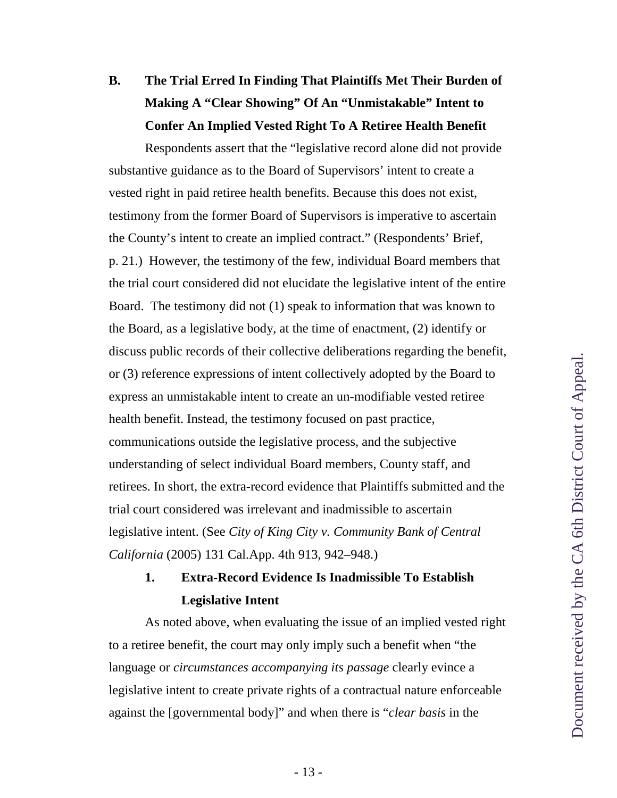# **B. The Trial Erred In Finding That Plaintiffs Met Their Burden of Making A "Clear Showing" Of An "Unmistakable" Intent to Confer An Implied Vested Right To A Retiree Health Benefit**

Respondents assert that the "legislative record alone did not provide substantive guidance as to the Board of Supervisors' intent to create a vested right in paid retiree health benefits. Because this does not exist, testimony from the former Board of Supervisors is imperative to ascertain the County's intent to create an implied contract." (Respondents' Brief, p. 21.) However, the testimony of the few, individual Board members that the trial court considered did not elucidate the legislative intent of the entire Board. The testimony did not (1) speak to information that was known to the Board, as a legislative body, at the time of enactment, (2) identify or discuss public records of their collective deliberations regarding the benefit, or (3) reference expressions of intent collectively adopted by the Board to express an unmistakable intent to create an un-modifiable vested retiree health benefit. Instead, the testimony focused on past practice, communications outside the legislative process, and the subjective understanding of select individual Board members, County staff, and retirees. In short, the extra-record evidence that Plaintiffs submitted and the trial court considered was irrelevant and inadmissible to ascertain legislative intent. (See *City of King City v. Community Bank of Central California* (2005) 131 Cal.App. 4th 913, 942–948.)

# <span id="page-22-0"></span>**1. Extra-Record Evidence Is Inadmissible To Establish Legislative Intent**

As noted above, when evaluating the issue of an implied vested right to a retiree benefit, the court may only imply such a benefit when "the language or *circumstances accompanying its passage* clearly evince a legislative intent to create private rights of a contractual nature enforceable against the [governmental body]" and when there is "*clear basis* in the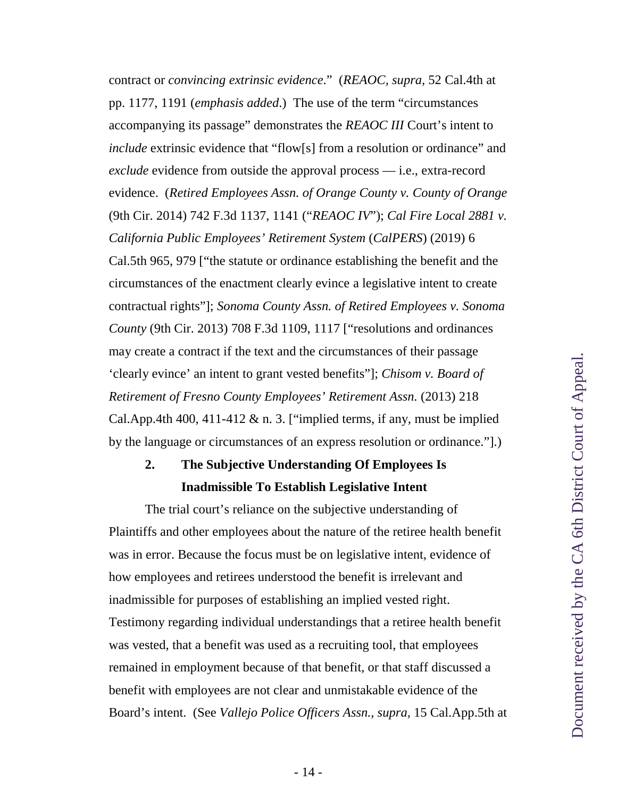<span id="page-23-2"></span><span id="page-23-0"></span>contract or *convincing extrinsic evidence*." (*REAOC, supra,* 52 Cal.4th at pp. 1177, 1191 (*emphasis added*.) The use of the term "circumstances accompanying its passage" demonstrates the *REAOC III* Court's intent to *include* extrinsic evidence that "flow[s] from a resolution or ordinance" and *exclude* evidence from outside the approval process — i.e., extra-record evidence. (*Retired Employees Assn. of Orange County v. County of Orange* (9th Cir. 2014) 742 F.3d 1137, 1141 ("*REAOC IV*"); *Cal Fire Local 2881 v. California Public Employees' Retirement System* (*CalPERS*) (2019) 6 Cal.5th 965, 979 ["the statute or ordinance establishing the benefit and the circumstances of the enactment clearly evince a legislative intent to create contractual rights"]; *Sonoma County Assn. of Retired Employees v. Sonoma County* (9th Cir. 2013) 708 F.3d 1109, 1117 ["resolutions and ordinances may create a contract if the text and the circumstances of their passage 'clearly evince' an intent to grant vested benefits"]; *Chisom v. Board of Retirement of Fresno County Employees' Retirement Assn.* (2013) 218 Cal.App.4th 400, 411-412  $\&$  n. 3. ["implied terms, if any, must be implied by the language or circumstances of an express resolution or ordinance."].)

# <span id="page-23-3"></span><span id="page-23-1"></span>**2. The Subjective Understanding Of Employees Is Inadmissible To Establish Legislative Intent**

<span id="page-23-4"></span>The trial court's reliance on the subjective understanding of Plaintiffs and other employees about the nature of the retiree health benefit was in error. Because the focus must be on legislative intent, evidence of how employees and retirees understood the benefit is irrelevant and inadmissible for purposes of establishing an implied vested right. Testimony regarding individual understandings that a retiree health benefit was vested, that a benefit was used as a recruiting tool, that employees remained in employment because of that benefit, or that staff discussed a benefit with employees are not clear and unmistakable evidence of the Board's intent. (See *Vallejo Police Officers Assn., supra,* 15 Cal.App.5th at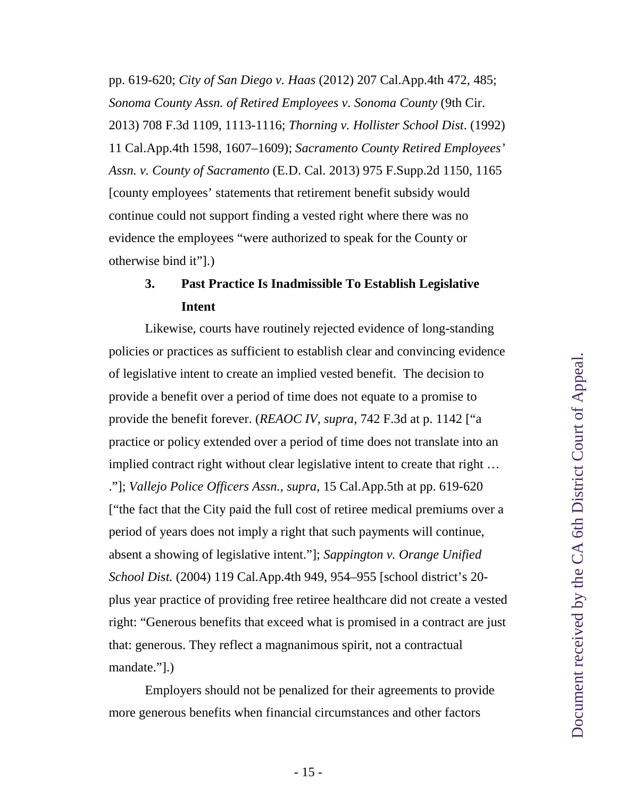<span id="page-24-5"></span><span id="page-24-3"></span><span id="page-24-2"></span><span id="page-24-1"></span>pp. 619-620; *City of San Diego v. Haas* (2012) 207 Cal.App.4th 472, 485; *Sonoma County Assn. of Retired Employees v. Sonoma County* (9th Cir. 2013) 708 F.3d 1109, 1113-1116; *Thorning v. Hollister School Dist*. (1992) 11 Cal.App.4th 1598, 1607–1609); *Sacramento County Retired Employees' Assn. v. County of Sacramento* (E.D. Cal. 2013) 975 F.Supp.2d 1150, 1165 [county employees' statements that retirement benefit subsidy would continue could not support finding a vested right where there was no evidence the employees "were authorized to speak for the County or otherwise bind it"].)

### <span id="page-24-0"></span>**3. Past Practice Is Inadmissible To Establish Legislative Intent**

Likewise, courts have routinely rejected evidence of long-standing policies or practices as sufficient to establish clear and convincing evidence of legislative intent to create an implied vested benefit. The decision to provide a benefit over a period of time does not equate to a promise to provide the benefit forever. (*REAOC IV, supra,* 742 F.3d at p. 1142 ["a practice or policy extended over a period of time does not translate into an implied contract right without clear legislative intent to create that right … ."]; *Vallejo Police Officers Assn., supra,* 15 Cal.App.5th at pp. 619-620 ["the fact that the City paid the full cost of retiree medical premiums over a period of years does not imply a right that such payments will continue, absent a showing of legislative intent."]; *Sappington v. Orange Unified School Dist.* (2004) 119 Cal.App.4th 949, 954–955 [school district's 20 plus year practice of providing free retiree healthcare did not create a vested right: "Generous benefits that exceed what is promised in a contract are just that: generous. They reflect a magnanimous spirit, not a contractual mandate."].)

<span id="page-24-4"></span>Employers should not be penalized for their agreements to provide more generous benefits when financial circumstances and other factors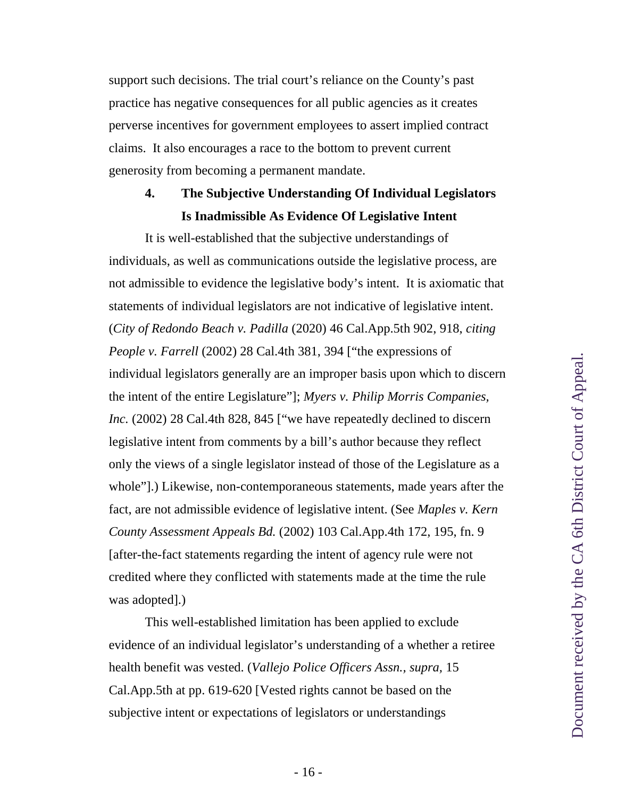support such decisions. The trial court's reliance on the County's past practice has negative consequences for all public agencies as it creates perverse incentives for government employees to assert implied contract claims. It also encourages a race to the bottom to prevent current generosity from becoming a permanent mandate.

## **4. The Subjective Understanding Of Individual Legislators Is Inadmissible As Evidence Of Legislative Intent**

<span id="page-25-2"></span><span id="page-25-0"></span>It is well-established that the subjective understandings of individuals, as well as communications outside the legislative process, are not admissible to evidence the legislative body's intent. It is axiomatic that statements of individual legislators are not indicative of legislative intent. (*City of Redondo Beach v. Padilla* (2020) 46 Cal.App.5th 902, 918, *citing People v. Farrell* (2002) 28 Cal.4th 381, 394 ["the expressions of individual legislators generally are an improper basis upon which to discern the intent of the entire Legislature"]; *Myers v. Philip Morris Companies, Inc.* (2002) 28 Cal.4th 828, 845 ["we have repeatedly declined to discern legislative intent from comments by a bill's author because they reflect only the views of a single legislator instead of those of the Legislature as a whole"].) Likewise, non-contemporaneous statements, made years after the fact, are not admissible evidence of legislative intent. (See *Maples v. Kern County Assessment Appeals Bd.* (2002) 103 Cal.App.4th 172, 195, fn. 9 [after-the-fact statements regarding the intent of agency rule were not credited where they conflicted with statements made at the time the rule was adopted].)

<span id="page-25-3"></span><span id="page-25-1"></span>This well-established limitation has been applied to exclude evidence of an individual legislator's understanding of a whether a retiree health benefit was vested. (*Vallejo Police Officers Assn., supra,* 15 Cal.App.5th at pp. 619-620 [Vested rights cannot be based on the subjective intent or expectations of legislators or understandings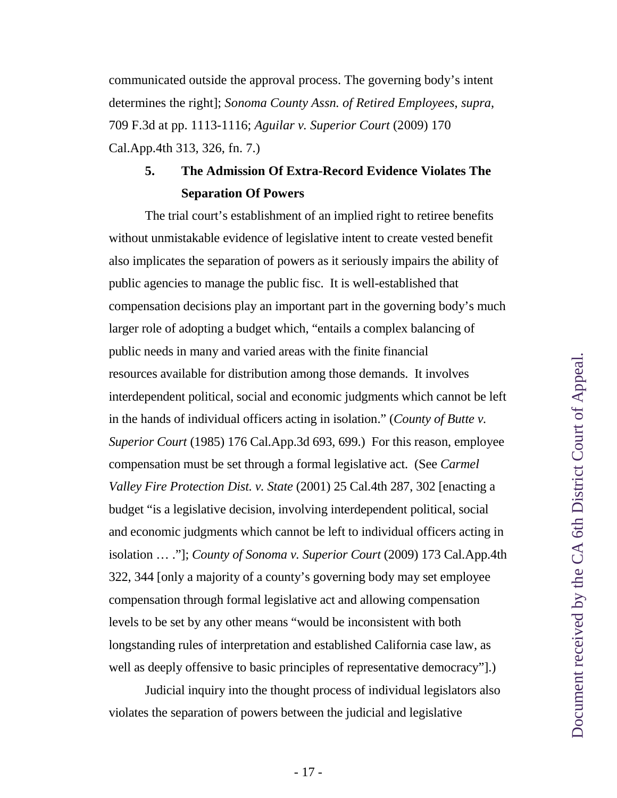communicated outside the approval process. The governing body's intent determines the right]; *Sonoma County Assn. of Retired Employees*, *supra*, 709 F.3d at pp. 1113-1116; *Aguilar v. Superior Court* (2009) 170 Cal.App.4th 313, 326, fn. 7.)

### <span id="page-26-3"></span><span id="page-26-1"></span><span id="page-26-0"></span>**5. The Admission Of Extra-Record Evidence Violates The Separation Of Powers**

The trial court's establishment of an implied right to retiree benefits without unmistakable evidence of legislative intent to create vested benefit also implicates the separation of powers as it seriously impairs the ability of public agencies to manage the public fisc. It is well-established that compensation decisions play an important part in the governing body's much larger role of adopting a budget which, "entails a complex balancing of public needs in many and varied areas with the finite financial resources available for distribution among those demands. It involves interdependent political, social and economic judgments which cannot be left in the hands of individual officers acting in isolation." (*County of Butte v. Superior Court* (1985) 176 Cal.App.3d 693, 699.) For this reason, employee compensation must be set through a formal legislative act. (See *Carmel Valley Fire Protection Dist. v. State* (2001) 25 Cal.4th 287, 302 [enacting a budget "is a legislative decision, involving interdependent political, social and economic judgments which cannot be left to individual officers acting in isolation … ."]; *County of Sonoma v. Superior Court* (2009) 173 Cal.App.4th 322, 344 [only a majority of a county's governing body may set employee compensation through formal legislative act and allowing compensation levels to be set by any other means "would be inconsistent with both longstanding rules of interpretation and established California case law, as well as deeply offensive to basic principles of representative democracy"].)

<span id="page-26-4"></span><span id="page-26-2"></span>Judicial inquiry into the thought process of individual legislators also violates the separation of powers between the judicial and legislative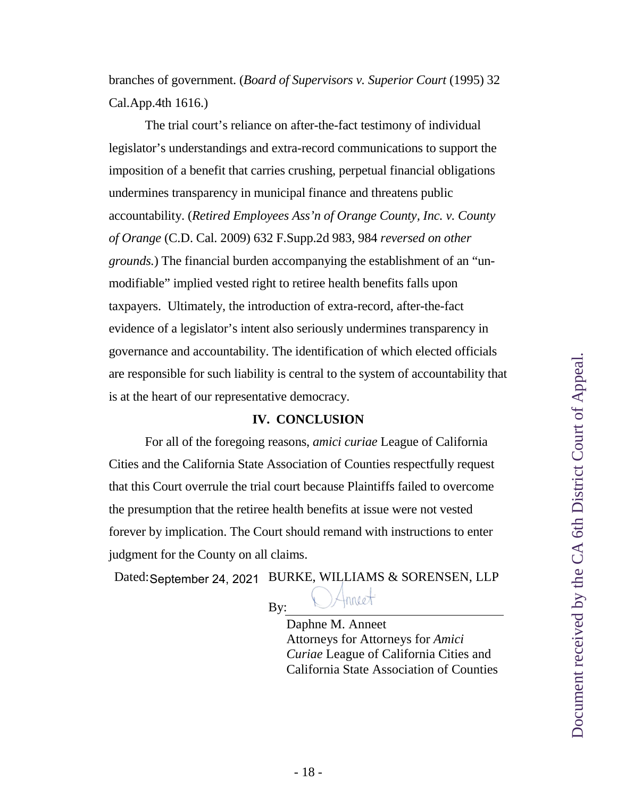<span id="page-27-1"></span>branches of government. (*Board of Supervisors v. Superior Court* (1995) 32 Cal.App.4th 1616.)

<span id="page-27-0"></span>The trial court's reliance on after-the-fact testimony of individual legislator's understandings and extra-record communications to support the imposition of a benefit that carries crushing, perpetual financial obligations undermines transparency in municipal finance and threatens public accountability. (*Retired Employees Ass'n of Orange County, Inc. v. County of Orange* (C.D. Cal. 2009) 632 F.Supp.2d 983, 984 *reversed on other grounds.*) The financial burden accompanying the establishment of an "unmodifiable" implied vested right to retiree health benefits falls upon taxpayers. Ultimately, the introduction of extra-record, after-the-fact evidence of a legislator's intent also seriously undermines transparency in governance and accountability. The identification of which elected officials are responsible for such liability is central to the system of accountability that is at the heart of our representative democracy.

#### **IV. CONCLUSION**

For all of the foregoing reasons, *amici curiae* League of California Cities and the California State Association of Counties respectfully request that this Court overrule the trial court because Plaintiffs failed to overcome the presumption that the retiree health benefits at issue were not vested forever by implication. The Court should remand with instructions to enter judgment for the County on all claims.

Dated: September 24, 2021 BURKE, WILLIAMS & SORENSEN, LLP

By:

Daphne M. Anneet Attorneys for Attorneys for *Amici Curiae* League of California Cities and California State Association of Counties

mneet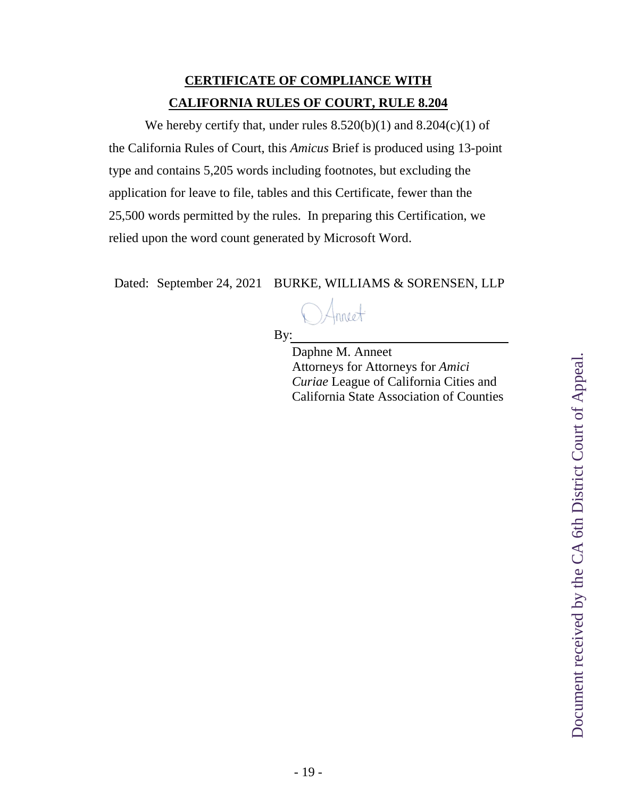## **CERTIFICATE OF COMPLIANCE WITH CALIFORNIA RULES OF COURT, RULE 8.204**

We hereby certify that, under rules  $8.520(b)(1)$  and  $8.204(c)(1)$  of the California Rules of Court, this *Amicus* Brief is produced using 13-point type and contains 5,205 words including footnotes, but excluding the application for leave to file, tables and this Certificate, fewer than the 25,500 words permitted by the rules. In preparing this Certification, we relied upon the word count generated by Microsoft Word.

Dated: September 24, 2021 BURKE, WILLIAMS & SORENSEN, LLP

By:

Daphne M. Anneet Attorneys for Attorneys for *Amici Curiae* League of California Cities and California State Association of Counties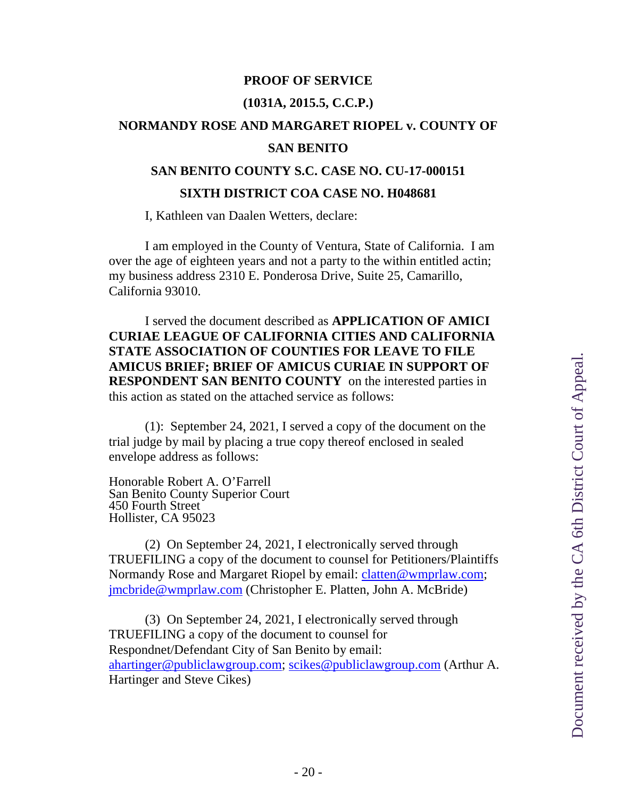#### **PROOF OF SERVICE**

#### **(1031A, 2015.5, C.C.P.)**

# **NORMANDY ROSE AND MARGARET RIOPEL v. COUNTY OF**

#### **SAN BENITO**

#### **SAN BENITO COUNTY S.C. CASE NO. CU-17-000151**

#### **SIXTH DISTRICT COA CASE NO. H048681**

I, Kathleen van Daalen Wetters, declare:

I am employed in the County of Ventura, State of California. I am over the age of eighteen years and not a party to the within entitled actin; my business address 2310 E. Ponderosa Drive, Suite 25, Camarillo, California 93010.

I served the document described as **APPLICATION OF AMICI CURIAE LEAGUE OF CALIFORNIA CITIES AND CALIFORNIA STATE ASSOCIATION OF COUNTIES FOR LEAVE TO FILE AMICUS BRIEF; BRIEF OF AMICUS CURIAE IN SUPPORT OF RESPONDENT SAN BENITO COUNTY** on the interested parties in this action as stated on the attached service as follows:

(1): September 24, 2021, I served a copy of the document on the trial judge by mail by placing a true copy thereof enclosed in sealed envelope address as follows:

Honorable Robert A. O'Farrell San Benito County Superior Court 450 Fourth Street Hollister, CA 95023

(2) On September 24, 2021, I electronically served through TRUEFILING a copy of the document to counsel for Petitioners/Plaintiffs Normandy Rose and Margaret Riopel by email: clatten@wmprlaw.com; jmcbride@wmprlaw.com (Christopher E. Platten, John A. McBride)

(3) On September 24, 2021, I electronically served through TRUEFILING a copy of the document to counsel for Respondnet/Defendant City of San Benito by email: ahartinger@publiclawgroup.com; scikes@publiclawgroup.com (Arthur A. Hartinger and Steve Cikes)